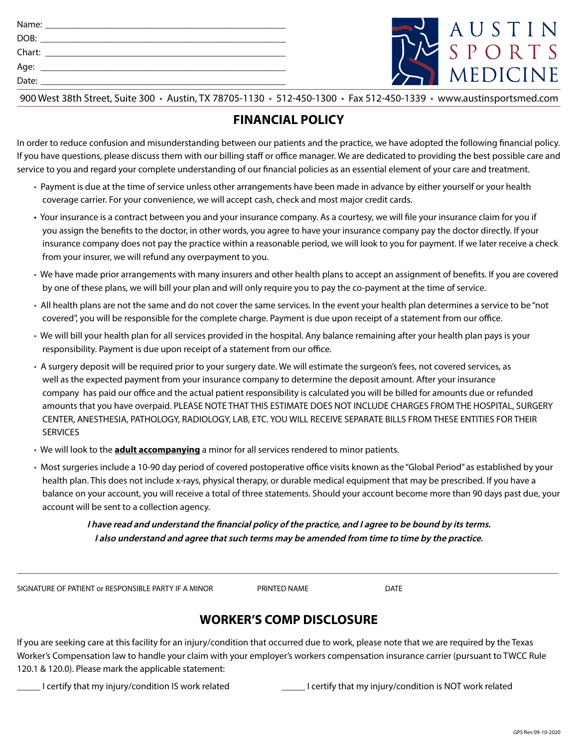| Chart:<br><u> 1980 - Johann Sammer, mars andrew Maria (</u> |
|-------------------------------------------------------------|
|                                                             |
| Date:                                                       |



## **FINANCIAL POLICY**

In order to reduce confusion and misunderstanding between our patients and the practice, we have adopted the following financial policy. If you have questions, please discuss them with our billing staff or office manager. We are dedicated to providing the best possible care and service to you and regard your complete understanding of our financial policies as an essential element of your care and treatment.

- Payment is due at the time of service unless other arrangements have been made in advance by either yourself or your health coverage carrier. For your convenience, we will accept cash, check and most major credit cards.
- Your insurance is a contract between you and your insurance company. As a courtesy, we will file your insurance claim for you if you assign the benefits to the doctor, in other words, you agree to have your insurance company pay the doctor directly. If your insurance company does not pay the practice within a reasonable period, we will look to you for payment. If we later receive a check from your insurer, we will refund any overpayment to you.
- We have made prior arrangements with many insurers and other health plans to accept an assignment of benefits. If you are covered by one of these plans, we will bill your plan and will only require you to pay the co-payment at the time of service.
- All health plans are not the same and do not cover the same services. In the event your health plan determines a service to be "not covered", you will be responsible for the complete charge. Payment is due upon receipt of a statement from our office.
- We will bill your health plan for all services provided in the hospital. Any balance remaining after your health plan pays is your responsibility. Payment is due upon receipt of a statement from our office.
- A surgery deposit will be required prior to your surgery date. We will estimate the surgeon's fees, not covered services, as well as the expected payment from your insurance company to determine the deposit amount. After your insurance company has paid our office and the actual patient responsibility is calculated you will be billed for amounts due or refunded amounts that you have overpaid. PLEASE NOTE THAT THIS ESTIMATE DOES NOT INCLUDE CHARGES FROM THE HOSPITAL, SURGERY CENTER, ANESTHESIA, PATHOLOGY, RADIOLOGY, LAB, ETC. YOU WILL RECEIVE SEPARATE BILLS FROM THESE ENTITIES FOR THEIR **SERVICES**
- We will look to the **adult accompanying** a minor for all services rendered to minor patients.
- Most surgeries include a 10-90 day period of covered postoperative office visits known as the "Global Period" as established by your health plan. This does not include x-rays, physical therapy, or durable medical equipment that may be prescribed. If you have a balance on your account, you will receive a total of three statements. Should your account become more than 90 days past due, your account will be sent to a collection agency.

**I have read and understand the financial policy of the practice, and I agree to be bound by its terms. I also understand and agree that such terms may be amended from time to time by the practice.**

SIGNATURE OF PATIENT OF RESPONSIBLE PARTY IF A MINOR FRINTED NAME PRINTED NAME

\_\_\_\_\_\_\_\_\_\_\_\_\_\_\_\_\_\_\_\_\_\_\_\_\_\_\_\_\_\_\_\_\_\_\_\_\_\_\_\_\_\_\_\_\_\_\_\_\_\_\_\_\_\_\_\_\_\_\_\_\_\_\_\_\_\_\_\_\_\_\_\_\_\_\_\_\_\_\_\_\_\_\_\_\_\_\_\_\_\_\_\_\_\_\_\_\_\_\_\_\_\_\_\_\_\_\_\_\_\_\_\_\_\_\_\_\_\_\_\_\_\_\_\_\_\_\_\_\_\_\_\_\_\_\_

# **WORKER'S COMP DISCLOSURE**

If you are seeking care at this facility for an injury/condition that occurred due to work, please note that we are required by the Texas Worker's Compensation law to handle your claim with your employer's workers compensation insurance carrier (pursuant to TWCC Rule 120.1 & 120.0). Please mark the applicable statement:

\_\_\_\_\_ I certify that my injury/condition IS work related \_\_\_\_\_ I certify that my injury/condition is NOT work related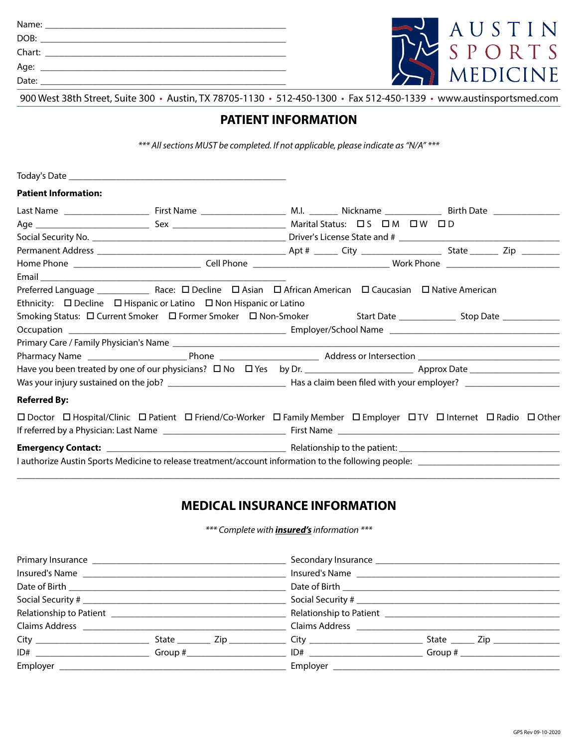| DOB:   | <u> 1980 - Jan Barbarat, martin da basar da basar da basar da basar da basar da basar da basar da basar da basar</u> |
|--------|----------------------------------------------------------------------------------------------------------------------|
| Chart: | <u> 1980 - Jan Samuel Barbara, martin da shekara 1980 - Ang Panganan ang Pangangang Barbara</u>                      |
| Age:   |                                                                                                                      |
| Date:  |                                                                                                                      |



#### **PATIENT INFORMATION**

*\*\*\* All sections MUST be completed. If not applicable, please indicate as "N/A" \*\*\**

| <b>Patient Information:</b> |                                                                                   |  |                                                                                                                                         |
|-----------------------------|-----------------------------------------------------------------------------------|--|-----------------------------------------------------------------------------------------------------------------------------------------|
|                             |                                                                                   |  |                                                                                                                                         |
|                             |                                                                                   |  |                                                                                                                                         |
|                             |                                                                                   |  |                                                                                                                                         |
|                             |                                                                                   |  |                                                                                                                                         |
|                             |                                                                                   |  |                                                                                                                                         |
|                             |                                                                                   |  |                                                                                                                                         |
|                             |                                                                                   |  |                                                                                                                                         |
|                             | Ethnicity: $\Box$ Decline $\Box$ Hispanic or Latino $\Box$ Non Hispanic or Latino |  |                                                                                                                                         |
|                             |                                                                                   |  |                                                                                                                                         |
|                             |                                                                                   |  |                                                                                                                                         |
|                             |                                                                                   |  |                                                                                                                                         |
|                             |                                                                                   |  |                                                                                                                                         |
|                             |                                                                                   |  |                                                                                                                                         |
|                             |                                                                                   |  |                                                                                                                                         |
| <b>Referred By:</b>         |                                                                                   |  |                                                                                                                                         |
|                             |                                                                                   |  | □ Doctor □ Hospital/Clinic □ Patient □ Friend/Co-Worker □ Family Member □ Employer □ TV □ Internet □ Radio □ Other                      |
|                             |                                                                                   |  |                                                                                                                                         |
|                             |                                                                                   |  |                                                                                                                                         |
|                             |                                                                                   |  | I authorize Austin Sports Medicine to release treatment/account information to the following people: __________________________________ |

#### **MEDICAL INSURANCE INFORMATION**

\_\_\_\_\_\_\_\_\_\_\_\_\_\_\_\_\_\_\_\_\_\_\_\_\_\_\_\_\_\_\_\_\_\_\_\_\_\_\_\_\_\_\_\_\_\_\_\_\_\_\_\_\_\_\_\_\_\_\_\_\_\_\_\_\_\_\_\_\_\_\_\_\_\_\_\_\_\_\_\_\_\_\_\_\_\_\_\_\_\_\_\_\_\_\_\_\_\_\_\_\_\_\_\_\_\_\_\_\_\_\_\_\_\_\_

*\*\*\* Complete with insured's information \*\*\**

|                 |  |  | Date of Birth ___________________ |  |                                                     |  |
|-----------------|--|--|-----------------------------------|--|-----------------------------------------------------|--|
|                 |  |  |                                   |  |                                                     |  |
|                 |  |  |                                   |  |                                                     |  |
|                 |  |  |                                   |  |                                                     |  |
|                 |  |  |                                   |  | State $\frac{1}{\sqrt{2}}$ Zip $\frac{1}{\sqrt{2}}$ |  |
|                 |  |  |                                   |  |                                                     |  |
| Employer $_{-}$ |  |  |                                   |  |                                                     |  |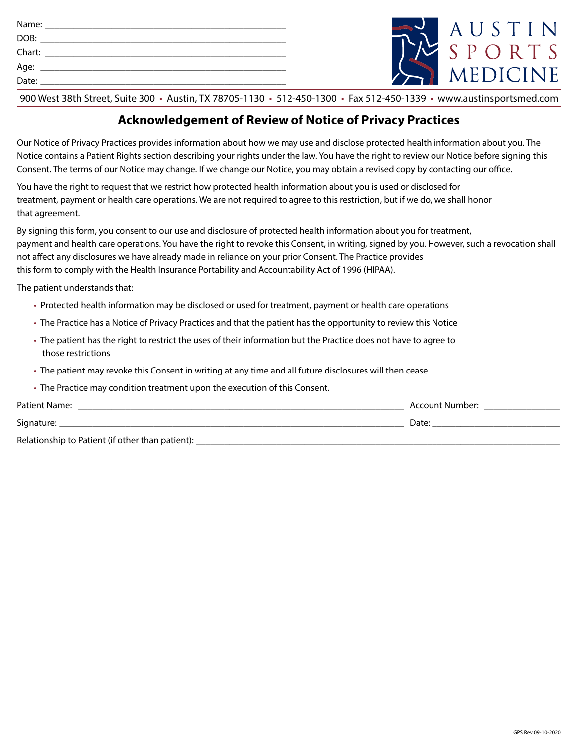| Chart: |                                                                                                                                                                                                                                |  |
|--------|--------------------------------------------------------------------------------------------------------------------------------------------------------------------------------------------------------------------------------|--|
|        | Age: the contract of the contract of the contract of the contract of the contract of the contract of the contract of the contract of the contract of the contract of the contract of the contract of the contract of the contr |  |
| Date:  | <u> 1980 - John Stein, Amerikaansk politiker (</u>                                                                                                                                                                             |  |
|        |                                                                                                                                                                                                                                |  |



### **Acknowledgement of Review of Notice of Privacy Practices**

Our Notice of Privacy Practices provides information about how we may use and disclose protected health information about you. The Notice contains a Patient Rights section describing your rights under the law. You have the right to review our Notice before signing this Consent. The terms of our Notice may change. If we change our Notice, you may obtain a revised copy by contacting our office.

You have the right to request that we restrict how protected health information about you is used or disclosed for treatment, payment or health care operations. We are not required to agree to this restriction, but if we do, we shall honor that agreement.

By signing this form, you consent to our use and disclosure of protected health information about you for treatment, payment and health care operations. You have the right to revoke this Consent, in writing, signed by you. However, such a revocation shall not affect any disclosures we have already made in reliance on your prior Consent. The Practice provides this form to comply with the Health Insurance Portability and Accountability Act of 1996 (HIPAA).

The patient understands that:

- Protected health information may be disclosed or used for treatment, payment or health care operations
- The Practice has a Notice of Privacy Practices and that the patient has the opportunity to review this Notice
- The patient has the right to restrict the uses of their information but the Practice does not have to agree to those restrictions
- The patient may revoke this Consent in writing at any time and all future disclosures will then cease
- The Practice may condition treatment upon the execution of this Consent.

| Patient Name:                                    | Account Number: |
|--------------------------------------------------|-----------------|
| Signature:                                       | Date:           |
| Relationship to Patient (if other than patient): |                 |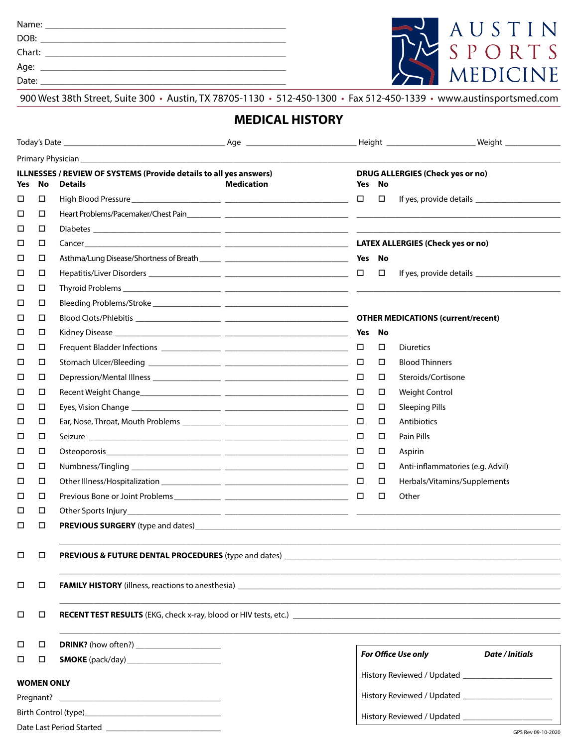Name: \_\_\_\_\_\_\_\_\_\_\_\_\_\_\_\_\_\_\_\_\_\_\_\_\_\_\_\_\_\_\_\_\_\_\_\_\_\_\_\_\_\_\_\_\_\_\_\_\_\_\_

DOB: \_\_\_\_\_\_\_\_\_\_\_\_\_\_\_\_\_\_\_\_\_\_\_\_\_\_\_\_\_\_\_\_\_\_\_\_\_\_\_\_\_\_\_\_\_\_\_\_\_\_\_\_

Chart: \_\_\_\_\_\_\_\_\_\_\_\_\_\_\_\_\_\_\_\_\_\_\_\_\_\_\_\_\_\_\_\_\_\_\_\_\_\_\_\_\_\_\_\_\_\_\_\_\_\_\_

Age: \_\_\_\_\_\_\_\_\_\_\_\_\_\_\_\_\_\_\_\_\_\_\_\_\_\_\_\_\_\_\_\_\_\_\_\_\_\_\_\_\_\_\_\_\_\_\_\_\_\_\_\_

Date: \_\_\_\_\_\_\_\_\_\_\_\_\_\_\_\_\_\_\_\_\_\_\_\_\_\_\_\_\_\_\_\_\_\_\_\_\_\_\_\_\_\_\_\_\_\_\_\_\_\_\_\_



900 West 38th Street, Suite 300 • Austin, TX 78705-1130 • 512-450-1300 • Fax 512-450-1339 • www.austinsportsmed.com

## **MEDICAL HISTORY**

| <b>ILLNESSES / REVIEW OF SYSTEMS (Provide details to all yes answers)</b><br>No<br><b>Details</b><br>Yes |        |                                                                                                                                                                  | <b>Medication</b> | Yes    | <b>DRUG ALLERGIES (Check yes or no)</b><br>No |                                               |  |
|----------------------------------------------------------------------------------------------------------|--------|------------------------------------------------------------------------------------------------------------------------------------------------------------------|-------------------|--------|-----------------------------------------------|-----------------------------------------------|--|
| □                                                                                                        | □      |                                                                                                                                                                  |                   | $\Box$ | $\Box$                                        |                                               |  |
| □                                                                                                        | □      |                                                                                                                                                                  |                   |        |                                               |                                               |  |
| □                                                                                                        | □      |                                                                                                                                                                  |                   |        |                                               |                                               |  |
| □                                                                                                        | □      |                                                                                                                                                                  |                   |        |                                               |                                               |  |
| □                                                                                                        | □      |                                                                                                                                                                  |                   |        |                                               |                                               |  |
| □                                                                                                        | □      |                                                                                                                                                                  |                   |        | $\Box$                                        |                                               |  |
| □                                                                                                        | □      |                                                                                                                                                                  |                   |        |                                               |                                               |  |
| □                                                                                                        | □      |                                                                                                                                                                  |                   |        |                                               |                                               |  |
| □                                                                                                        | □      |                                                                                                                                                                  |                   |        |                                               |                                               |  |
| □                                                                                                        | □      |                                                                                                                                                                  |                   | Yes No |                                               |                                               |  |
| □                                                                                                        | □      |                                                                                                                                                                  |                   | $\Box$ | □                                             | <b>Diuretics</b>                              |  |
| □                                                                                                        | □      |                                                                                                                                                                  |                   | $\Box$ | $\Box$                                        | <b>Blood Thinners</b>                         |  |
| □                                                                                                        | □      |                                                                                                                                                                  |                   | $\Box$ | □                                             | Steroids/Cortisone                            |  |
| □                                                                                                        | □      |                                                                                                                                                                  |                   | □      | □                                             | <b>Weight Control</b>                         |  |
| □                                                                                                        | □      |                                                                                                                                                                  |                   | □      | □                                             | <b>Sleeping Pills</b>                         |  |
| □                                                                                                        | □      |                                                                                                                                                                  |                   | □      | □                                             | Antibiotics                                   |  |
| □                                                                                                        | □      |                                                                                                                                                                  |                   | $\Box$ | □                                             | Pain Pills                                    |  |
| □                                                                                                        | □      |                                                                                                                                                                  |                   | □      | □                                             | Aspirin                                       |  |
| □                                                                                                        | □      |                                                                                                                                                                  |                   | $\Box$ | □                                             | Anti-inflammatories (e.g. Advil)              |  |
| □                                                                                                        | □      |                                                                                                                                                                  |                   | □      | $\Box$                                        | Herbals/Vitamins/Supplements                  |  |
| □                                                                                                        | □      |                                                                                                                                                                  |                   | □      | □                                             | Other                                         |  |
| □                                                                                                        | □      |                                                                                                                                                                  |                   |        |                                               |                                               |  |
| □                                                                                                        | □      |                                                                                                                                                                  |                   |        |                                               |                                               |  |
| □                                                                                                        | $\Box$ | PREVIOUS & FUTURE DENTAL PROCEDURES (type and dates) _                                                                                                           |                   |        |                                               |                                               |  |
| □                                                                                                        | $\Box$ |                                                                                                                                                                  |                   |        |                                               |                                               |  |
| □                                                                                                        | □      | <b>RECENT TEST RESULTS</b> (EKG, check x-ray, blood or HIV tests, etc.) <b>EXALL AND THE CONSTRANT TEST RESULTS</b> (EKG, check x-ray, blood or HIV tests, etc.) |                   |        |                                               |                                               |  |
| □                                                                                                        | □      |                                                                                                                                                                  |                   |        |                                               |                                               |  |
| □                                                                                                        | □      |                                                                                                                                                                  |                   |        |                                               | For Office Use only<br><b>Date / Initials</b> |  |
| <b>WOMEN ONLY</b>                                                                                        |        |                                                                                                                                                                  |                   |        |                                               |                                               |  |
|                                                                                                          |        |                                                                                                                                                                  |                   |        |                                               |                                               |  |
|                                                                                                          |        |                                                                                                                                                                  |                   |        |                                               |                                               |  |
|                                                                                                          |        |                                                                                                                                                                  |                   |        |                                               |                                               |  |

Date Last Period Started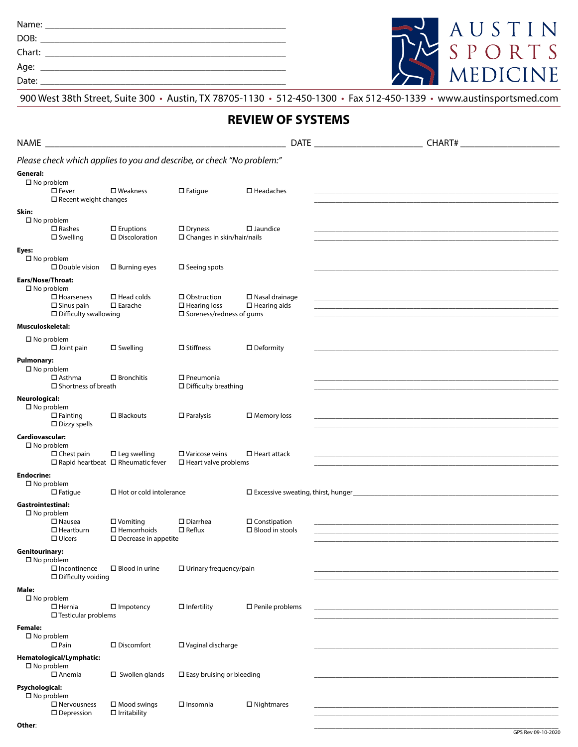Name: \_\_\_\_\_\_\_\_\_\_\_\_\_\_\_\_\_\_\_\_\_\_\_\_\_\_\_\_\_\_\_\_\_\_\_\_\_\_\_\_\_\_\_\_\_\_\_\_\_\_\_

DOB: \_\_\_\_\_\_\_\_\_\_\_\_\_\_\_\_\_\_\_\_\_\_\_\_\_\_\_\_\_\_\_\_\_\_\_\_\_\_\_\_\_\_\_\_\_\_\_\_\_\_\_\_

Chart: \_\_\_\_\_\_\_\_\_\_\_\_\_\_\_\_\_\_\_\_\_\_\_\_\_\_\_\_\_\_\_\_\_\_\_\_\_\_\_\_\_\_\_\_\_\_\_\_\_\_\_

Age: \_\_\_\_\_\_\_\_\_\_\_\_\_\_\_\_\_\_\_\_\_\_\_\_\_\_\_\_\_\_\_\_\_\_\_\_\_\_\_\_\_\_\_\_\_\_\_\_\_\_\_\_

Date: \_\_\_\_\_\_\_\_\_\_\_\_\_\_\_\_\_\_\_\_\_\_\_\_\_\_\_\_\_\_\_\_\_\_\_\_\_\_\_\_\_\_\_\_\_\_\_\_\_\_\_\_



900 West 38th Street, Suite 300 • Austin, TX 78705-1130 • 512-450-1300 • Fax 512-450-1339 • www.austinsportsmed.com

## **REVIEW OF SYSTEMS**

| <b>NAME</b>                                                                                                               |                                                                      |                                                                                 | <b>DATE</b>                                     | <b>CHART#</b>                                                                                                                                                                                                                             |
|---------------------------------------------------------------------------------------------------------------------------|----------------------------------------------------------------------|---------------------------------------------------------------------------------|-------------------------------------------------|-------------------------------------------------------------------------------------------------------------------------------------------------------------------------------------------------------------------------------------------|
| Please check which applies to you and describe, or check "No problem:"                                                    |                                                                      |                                                                                 |                                                 |                                                                                                                                                                                                                                           |
| General:<br>$\square$ No problem<br>$\square$ Fever<br>$\Box$ Recent weight changes                                       | $\square$ Weakness                                                   | $\square$ Fatigue                                                               | $\Box$ Headaches                                |                                                                                                                                                                                                                                           |
| Skin:<br>$\square$ No problem<br>$\square$ Rashes<br>$\square$ Swelling                                                   | $\Box$ Eruptions<br>$\square$ Discoloration                          | $\square$ Dryness<br>$\square$ Changes in skin/hair/nails                       | $\square$ Jaundice                              | and the control of the control of the control of the control of the control of the control of the control of the                                                                                                                          |
| Eyes:<br>$\square$ No problem<br>$\square$ Double vision                                                                  | $\square$ Burning eyes                                               | $\square$ Seeing spots                                                          |                                                 |                                                                                                                                                                                                                                           |
| Ears/Nose/Throat:<br>$\square$ No problem<br>$\square$ Hoarseness<br>$\square$ Sinus pain<br>$\Box$ Difficulty swallowing | $\Box$ Head colds<br>$\square$ Earache                               | $\Box$ Obstruction<br>$\Box$ Hearing loss<br>$\square$ Soreness/redness of gums | $\square$ Nasal drainage<br>$\Box$ Hearing aids | <u> 1980 - Johann John Stone, markin basar (b. 1980)</u><br><u> 1989 - Johann Stoff, amerikansk politiker (d. 1989)</u>                                                                                                                   |
| Musculoskeletal:                                                                                                          |                                                                      |                                                                                 |                                                 |                                                                                                                                                                                                                                           |
| $\square$ No problem<br>$\Box$ Joint pain                                                                                 | $\square$ Swelling                                                   | $\square$ Stiffness                                                             | $\square$ Deformity                             |                                                                                                                                                                                                                                           |
| <b>Pulmonary:</b><br>$\square$ No problem<br>$\square$ Asthma<br>$\square$ Shortness of breath                            | $\square$ Bronchitis                                                 | $\Box$ Pneumonia<br>$\Box$ Difficulty breathing                                 |                                                 |                                                                                                                                                                                                                                           |
| Neurological:<br>$\square$ No problem<br>$\Box$ Fainting<br>$\Box$ Dizzy spells                                           | $\Box$ Blackouts                                                     | $\Box$ Paralysis                                                                | $\square$ Memory loss                           | the control of the control of the control of the control of the control of the control of the control of the control of the control of the control of the control of the control of the control of the control of the control             |
| Cardiovascular:<br>$\square$ No problem<br>$\Box$ Chest pain                                                              | $\Box$ Leg swelling<br>$\Box$ Rapid heartbeat $\Box$ Rheumatic fever | $\square$ Varicose veins<br>$\square$ Heart valve problems                      | $\Box$ Heart attack                             |                                                                                                                                                                                                                                           |
| <b>Endocrine:</b><br>$\square$ No problem<br>$\Box$ Fatigue                                                               | $\Box$ Hot or cold intolerance                                       |                                                                                 |                                                 |                                                                                                                                                                                                                                           |
| <b>Gastrointestinal:</b><br>$\square$ No problem<br>$\square$ Nausea<br>$\Box$ Heartburn<br>$\Box$ Ulcers                 | $\Box$ Vomiting<br>$\Box$ Hemorrhoids<br>$\Box$ Decrease in appetite | $\square$ Diarrhea<br>$\square$ Reflux                                          | $\Box$ Constipation<br>$\Box$ Blood in stools   | <u> 1989 - Johann Stoff, deutscher Stoff, der Stoff, der Stoff, der Stoff, der Stoff, der Stoff, der Stoff, der S</u><br>and the control of the control of the control of the control of the control of the control of the control of the |
| <b>Genitourinary:</b><br>$\square$ No problem<br>$\square$ Incontinence<br>$\Box$ Difficulty voiding                      | $\Box$ Blood in urine                                                | $\Box$ Urinary frequency/pain                                                   |                                                 |                                                                                                                                                                                                                                           |
| Male:<br>$\square$ No problem<br>$\Box$ Hernia<br>$\square$ Testicular problems                                           | $\Box$ Impotency                                                     | $\Box$ Infertility                                                              | $\square$ Penile problems                       |                                                                                                                                                                                                                                           |
| <b>Female:</b><br>$\square$ No problem<br>$\square$ Pain                                                                  | $\square$ Discomfort                                                 | □ Vaginal discharge                                                             |                                                 |                                                                                                                                                                                                                                           |
| Hematological/Lymphatic:<br>$\square$ No problem<br>$\square$ Anemia                                                      | $\square$ Swollen glands                                             | $\square$ Easy bruising or bleeding                                             |                                                 |                                                                                                                                                                                                                                           |
| Psychological:<br>$\square$ No problem<br>$\square$ Nervousness<br>$\square$ Depression                                   | $\square$ Mood swings<br>$\Box$ Irritability                         | $\Box$ Insomnia                                                                 | $\Box$ Nightmares                               |                                                                                                                                                                                                                                           |
| Other:                                                                                                                    |                                                                      |                                                                                 |                                                 |                                                                                                                                                                                                                                           |